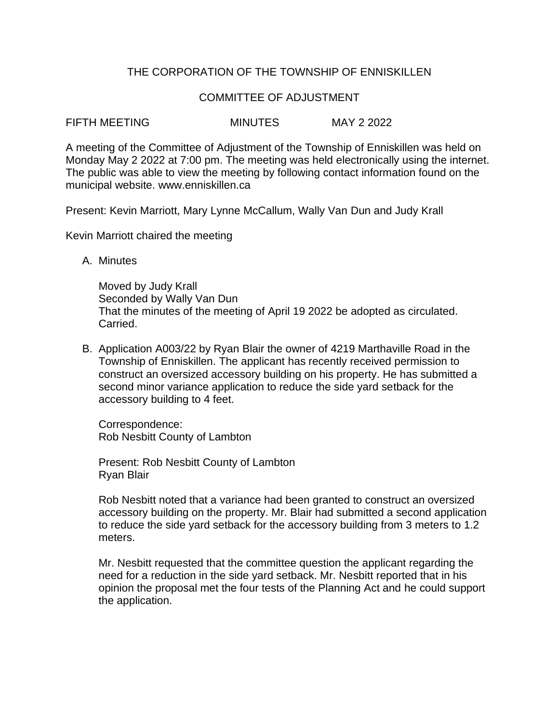# THE CORPORATION OF THE TOWNSHIP OF ENNISKILLEN

## COMMITTEE OF ADJUSTMENT

FIFTH MEETING MINUTES MAY 2 2022

A meeting of the Committee of Adjustment of the Township of Enniskillen was held on Monday May 2 2022 at 7:00 pm. The meeting was held electronically using the internet. The public was able to view the meeting by following contact information found on the municipal website. www.enniskillen.ca

Present: Kevin Marriott, Mary Lynne McCallum, Wally Van Dun and Judy Krall

Kevin Marriott chaired the meeting

A. Minutes

Moved by Judy Krall Seconded by Wally Van Dun That the minutes of the meeting of April 19 2022 be adopted as circulated. Carried.

B. Application A003/22 by Ryan Blair the owner of 4219 Marthaville Road in the Township of Enniskillen. The applicant has recently received permission to construct an oversized accessory building on his property. He has submitted a second minor variance application to reduce the side yard setback for the accessory building to 4 feet.

Correspondence: Rob Nesbitt County of Lambton

Present: Rob Nesbitt County of Lambton Ryan Blair

Rob Nesbitt noted that a variance had been granted to construct an oversized accessory building on the property. Mr. Blair had submitted a second application to reduce the side yard setback for the accessory building from 3 meters to 1.2 meters.

Mr. Nesbitt requested that the committee question the applicant regarding the need for a reduction in the side yard setback. Mr. Nesbitt reported that in his opinion the proposal met the four tests of the Planning Act and he could support the application.